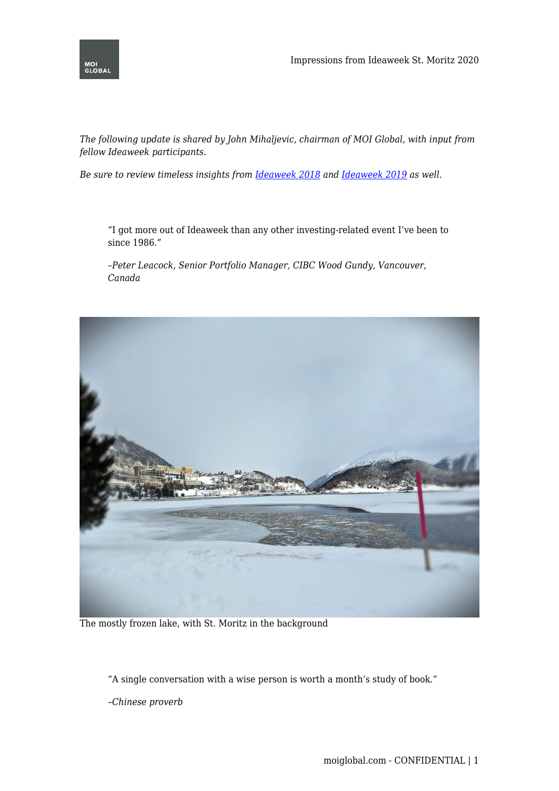

*The following update is shared by John Mihaljevic, chairman of MOI Global, with input from fellow Ideaweek participants.*

*Be sure to review timeless insights from [Ideaweek 2018](https://moiglobal.com/ideaweek18-impressions/) and [Ideaweek 2019](https://moiglobal.com/ideaweek19-impressions/) as well.*

"I got more out of Ideaweek than any other investing-related event I've been to since 1986."

*–Peter Leacock, Senior Portfolio Manager, CIBC Wood Gundy, Vancouver, Canada*



The mostly frozen lake, with St. Moritz in the background

"A single conversation with a wise person is worth a month's study of book."

*–Chinese proverb*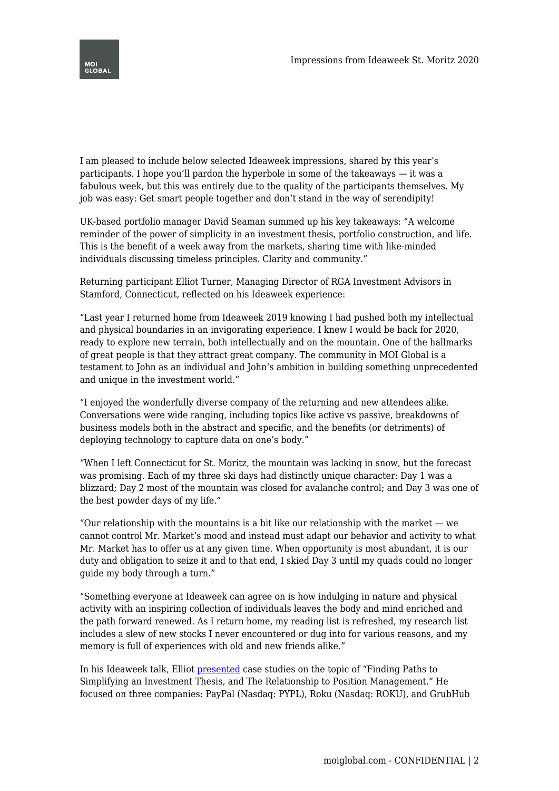

I am pleased to include below selected Ideaweek impressions, shared by this year's participants. I hope you'll pardon the hyperbole in some of the takeaways — it was a fabulous week, but this was entirely due to the quality of the participants themselves. My job was easy: Get smart people together and don't stand in the way of serendipity!

UK-based portfolio manager David Seaman summed up his key takeaways: "A welcome reminder of the power of simplicity in an investment thesis, portfolio construction, and life. This is the benefit of a week away from the markets, sharing time with like-minded individuals discussing timeless principles. Clarity and community."

Returning participant Elliot Turner, Managing Director of RGA Investment Advisors in Stamford, Connecticut, reflected on his Ideaweek experience:

"Last year I returned home from Ideaweek 2019 knowing I had pushed both my intellectual and physical boundaries in an invigorating experience. I knew I would be back for 2020, ready to explore new terrain, both intellectually and on the mountain. One of the hallmarks of great people is that they attract great company. The community in MOI Global is a testament to John as an individual and John's ambition in building something unprecedented and unique in the investment world."

"I enjoyed the wonderfully diverse company of the returning and new attendees alike. Conversations were wide ranging, including topics like active vs passive, breakdowns of business models both in the abstract and specific, and the benefits (or detriments) of deploying technology to capture data on one's body."

"When I left Connecticut for St. Moritz, the mountain was lacking in snow, but the forecast was promising. Each of my three ski days had distinctly unique character: Day 1 was a blizzard; Day 2 most of the mountain was closed for avalanche control; and Day 3 was one of the best powder days of my life."

"Our relationship with the mountains is a bit like our relationship with the market  $-\omega$ cannot control Mr. Market's mood and instead must adapt our behavior and activity to what Mr. Market has to offer us at any given time. When opportunity is most abundant, it is our duty and obligation to seize it and to that end, I skied Day 3 until my quads could no longer guide my body through a turn."

"Something everyone at Ideaweek can agree on is how indulging in nature and physical activity with an inspiring collection of individuals leaves the body and mind enriched and the path forward renewed. As I return home, my reading list is refreshed, my research list includes a slew of new stocks I never encountered or dug into for various reasons, and my memory is full of experiences with old and new friends alike."

In his Ideaweek talk, Elliot [presented](https://twitter.com/ElliotTurn/status/1227939391257088000?s=20) case studies on the topic of "Finding Paths to Simplifying an Investment Thesis, and The Relationship to Position Management." He focused on three companies: PayPal (Nasdaq: PYPL), Roku (Nasdaq: ROKU), and GrubHub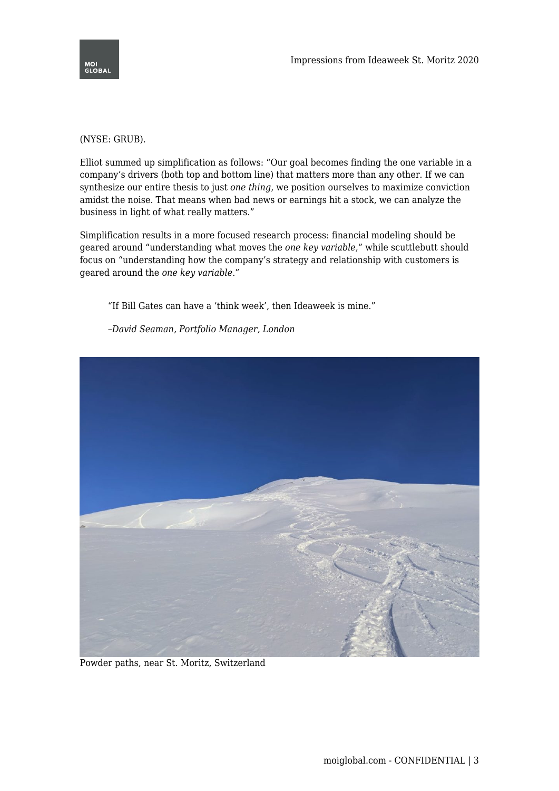

## (NYSE: GRUB).

Elliot summed up simplification as follows: "Our goal becomes finding the one variable in a company's drivers (both top and bottom line) that matters more than any other. If we can synthesize our entire thesis to just *one thing*, we position ourselves to maximize conviction amidst the noise. That means when bad news or earnings hit a stock, we can analyze the business in light of what really matters."

Simplification results in a more focused research process: financial modeling should be geared around "understanding what moves the *one key variable*," while scuttlebutt should focus on "understanding how the company's strategy and relationship with customers is geared around the *one key variable*."

"If Bill Gates can have a 'think week', then Ideaweek is mine."

*–David Seaman, Portfolio Manager, London*



Powder paths, near St. Moritz, Switzerland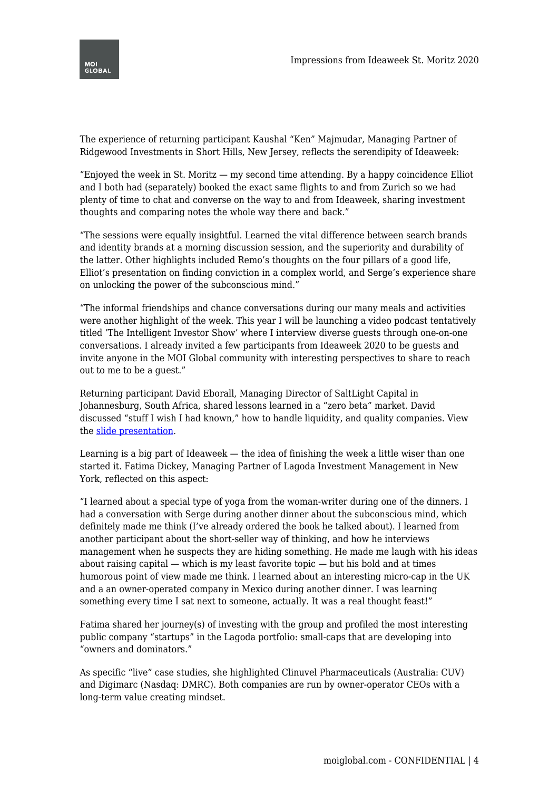

The experience of returning participant Kaushal "Ken" Majmudar, Managing Partner of Ridgewood Investments in Short Hills, New Jersey, reflects the serendipity of Ideaweek:

"Enjoyed the week in St. Moritz — my second time attending. By a happy coincidence Elliot and I both had (separately) booked the exact same flights to and from Zurich so we had plenty of time to chat and converse on the way to and from Ideaweek, sharing investment thoughts and comparing notes the whole way there and back."

"The sessions were equally insightful. Learned the vital difference between search brands and identity brands at a morning discussion session, and the superiority and durability of the latter. Other highlights included Remo's thoughts on the four pillars of a good life, Elliot's presentation on finding conviction in a complex world, and Serge's experience share on unlocking the power of the subconscious mind."

"The informal friendships and chance conversations during our many meals and activities were another highlight of the week. This year I will be launching a video podcast tentatively titled 'The Intelligent Investor Show' where I interview diverse guests through one-on-one conversations. I already invited a few participants from Ideaweek 2020 to be guests and invite anyone in the MOI Global community with interesting perspectives to share to reach out to me to be a guest."

Returning participant David Eborall, Managing Director of SaltLight Capital in Johannesburg, South Africa, shared lessons learned in a "zero beta" market. David discussed "stuff I wish I had known," how to handle liquidity, and quality companies. View the [slide presentation.](https://twitter.com/davideborall/status/1227947499891150848?s=20)

Learning is a big part of Ideaweek — the idea of finishing the week a little wiser than one started it. Fatima Dickey, Managing Partner of Lagoda Investment Management in New York, reflected on this aspect:

"I learned about a special type of yoga from the woman-writer during one of the dinners. I had a conversation with Serge during another dinner about the subconscious mind, which definitely made me think (I've already ordered the book he talked about). I learned from another participant about the short-seller way of thinking, and how he interviews management when he suspects they are hiding something. He made me laugh with his ideas about raising capital  $-$  which is my least favorite topic  $-$  but his bold and at times humorous point of view made me think. I learned about an interesting micro-cap in the UK and a an owner-operated company in Mexico during another dinner. I was learning something every time I sat next to someone, actually. It was a real thought feast!"

Fatima shared her journey(s) of investing with the group and profiled the most interesting public company "startups" in the Lagoda portfolio: small-caps that are developing into "owners and dominators."

As specific "live" case studies, she highlighted Clinuvel Pharmaceuticals (Australia: CUV) and Digimarc (Nasdaq: DMRC). Both companies are run by owner-operator CEOs with a long-term value creating mindset.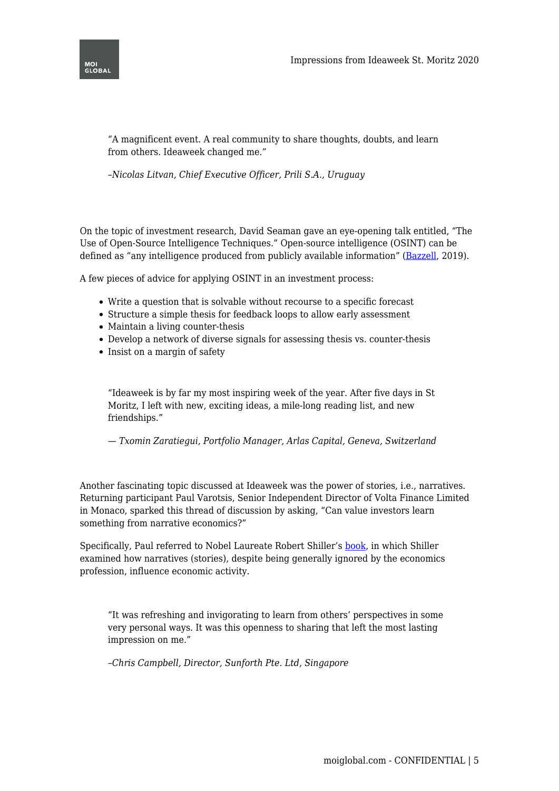

"A magnificent event. A real community to share thoughts, doubts, and learn from others. Ideaweek changed me."

*–Nicolas Litvan, Chief Executive Officer, Prili S.A., Uruguay*

On the topic of investment research, David Seaman gave an eye-opening talk entitled, "The Use of Open-Source Intelligence Techniques." Open-source intelligence (OSINT) can be defined as "any intelligence produced from publicly available information" [\(Bazzell,](https://inteltechniques.com/book1.html) 2019).

A few pieces of advice for applying OSINT in an investment process:

- Write a question that is solvable without recourse to a specific forecast
- Structure a simple thesis for feedback loops to allow early assessment
- Maintain a living counter-thesis
- Develop a network of diverse signals for assessing thesis vs. counter-thesis
- Insist on a margin of safety

"Ideaweek is by far my most inspiring week of the year. After five days in St Moritz, I left with new, exciting ideas, a mile-long reading list, and new friendships."

*— Txomin Zaratiegui, Portfolio Manager, Arlas Capital, Geneva, Switzerland*

Another fascinating topic discussed at Ideaweek was the power of stories, i.e., narratives. Returning participant Paul Varotsis, Senior Independent Director of Volta Finance Limited in Monaco, sparked this thread of discussion by asking, "Can value investors learn something from narrative economics?"

Specifically, Paul referred to Nobel Laureate Robert Shiller's [book,](https://amzn.to/2SUNSSp) in which Shiller examined how narratives (stories), despite being generally ignored by the economics profession, influence economic activity.

"It was refreshing and invigorating to learn from others' perspectives in some very personal ways. It was this openness to sharing that left the most lasting impression on me."

*–Chris Campbell, Director, Sunforth Pte. Ltd, Singapore*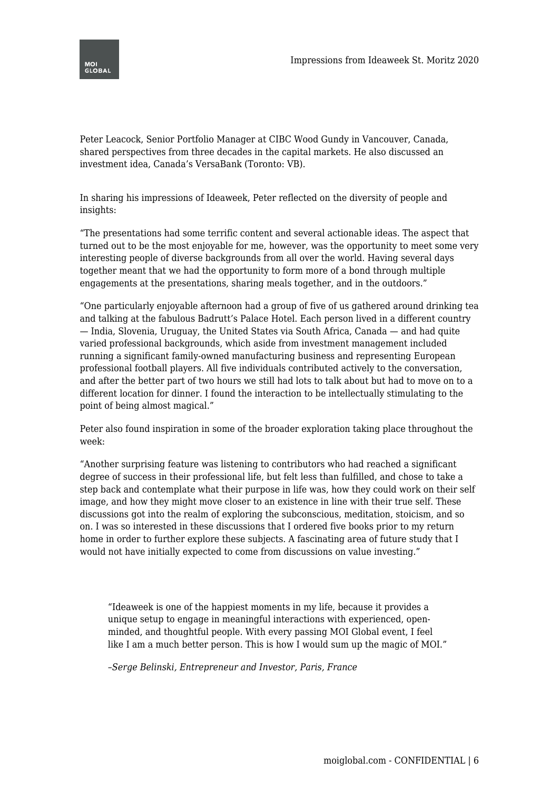

Peter Leacock, Senior Portfolio Manager at CIBC Wood Gundy in Vancouver, Canada, shared perspectives from three decades in the capital markets. He also discussed an investment idea, Canada's VersaBank (Toronto: VB).

In sharing his impressions of Ideaweek, Peter reflected on the diversity of people and insights:

"The presentations had some terrific content and several actionable ideas. The aspect that turned out to be the most enjoyable for me, however, was the opportunity to meet some very interesting people of diverse backgrounds from all over the world. Having several days together meant that we had the opportunity to form more of a bond through multiple engagements at the presentations, sharing meals together, and in the outdoors."

"One particularly enjoyable afternoon had a group of five of us gathered around drinking tea and talking at the fabulous Badrutt's Palace Hotel. Each person lived in a different country — India, Slovenia, Uruguay, the United States via South Africa, Canada — and had quite varied professional backgrounds, which aside from investment management included running a significant family-owned manufacturing business and representing European professional football players. All five individuals contributed actively to the conversation, and after the better part of two hours we still had lots to talk about but had to move on to a different location for dinner. I found the interaction to be intellectually stimulating to the point of being almost magical."

Peter also found inspiration in some of the broader exploration taking place throughout the week:

"Another surprising feature was listening to contributors who had reached a significant degree of success in their professional life, but felt less than fulfilled, and chose to take a step back and contemplate what their purpose in life was, how they could work on their self image, and how they might move closer to an existence in line with their true self. These discussions got into the realm of exploring the subconscious, meditation, stoicism, and so on. I was so interested in these discussions that I ordered five books prior to my return home in order to further explore these subjects. A fascinating area of future study that I would not have initially expected to come from discussions on value investing."

"Ideaweek is one of the happiest moments in my life, because it provides a unique setup to engage in meaningful interactions with experienced, openminded, and thoughtful people. With every passing MOI Global event, I feel like I am a much better person. This is how I would sum up the magic of MOI."

*–Serge Belinski, Entrepreneur and Investor, Paris, France*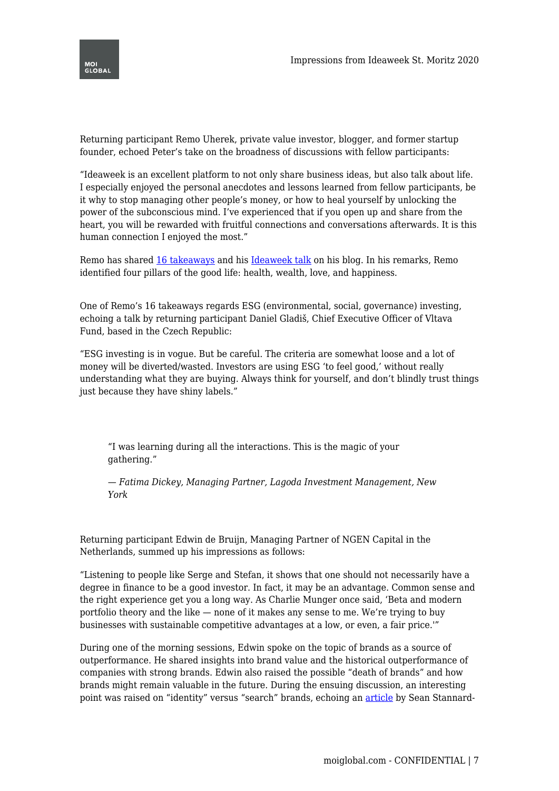

Returning participant Remo Uherek, private value investor, blogger, and former startup founder, echoed Peter's take on the broadness of discussions with fellow participants:

"Ideaweek is an excellent platform to not only share business ideas, but also talk about life. I especially enjoyed the personal anecdotes and lessons learned from fellow participants, be it why to stop managing other people's money, or how to heal yourself by unlocking the power of the subconscious mind. I've experienced that if you open up and share from the heart, you will be rewarded with fruitful connections and conversations afterwards. It is this human connection I enjoyed the most."

Remo has shared [16 takeaways](https://remo.org/2020/02/20/ideaweek-2020/) and his [Ideaweek talk](https://remo.org/2020/02/13/four-pillars-good-life-health-wealth-love-happiness/) on his blog. In his remarks, Remo identified four pillars of the good life: health, wealth, love, and happiness.

One of Remo's 16 takeaways regards ESG (environmental, social, governance) investing, echoing a talk by returning participant Daniel Gladiš, Chief Executive Officer of Vltava Fund, based in the Czech Republic:

"ESG investing is in vogue. But be careful. The criteria are somewhat loose and a lot of money will be diverted/wasted. Investors are using ESG 'to feel good,' without really understanding what they are buying. Always think for yourself, and don't blindly trust things just because they have shiny labels."

"I was learning during all the interactions. This is the magic of your gathering."

*— Fatima Dickey, Managing Partner, Lagoda Investment Management, New York*

Returning participant Edwin de Bruijn, Managing Partner of NGEN Capital in the Netherlands, summed up his impressions as follows:

"Listening to people like Serge and Stefan, it shows that one should not necessarily have a degree in finance to be a good investor. In fact, it may be an advantage. Common sense and the right experience get you a long way. As Charlie Munger once said, 'Beta and modern portfolio theory and the like — none of it makes any sense to me. We're trying to buy businesses with sustainable competitive advantages at a low, or even, a fair price.'"

During one of the morning sessions, Edwin spoke on the topic of brands as a source of outperformance. He shared insights into brand value and the historical outperformance of companies with strong brands. Edwin also raised the possible "death of brands" and how brands might remain valuable in the future. During the ensuing discussion, an interesting point was raised on "identity" versus "search" brands, echoing an [article](https://moiglobal.com/the-death-of-many-brands/) by Sean Stannard-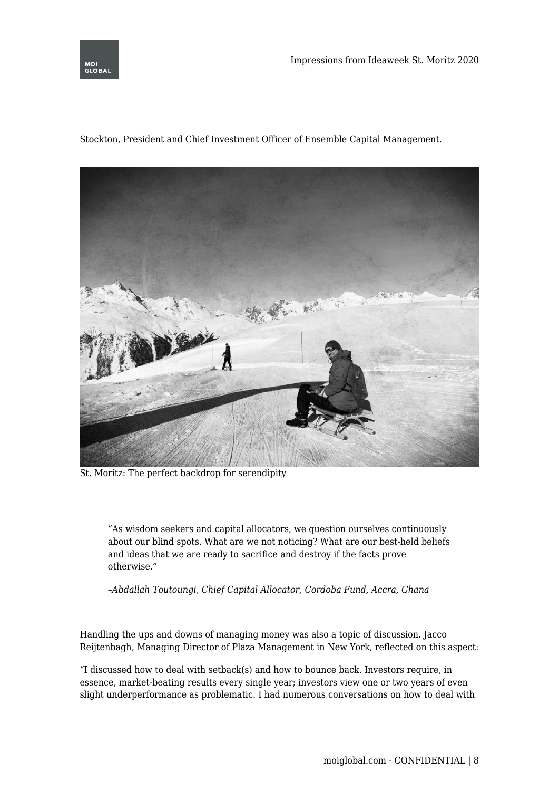

Stockton, President and Chief Investment Officer of Ensemble Capital Management.



St. Moritz: The perfect backdrop for serendipity

"As wisdom seekers and capital allocators, we question ourselves continuously about our blind spots. What are we not noticing? What are our best-held beliefs and ideas that we are ready to sacrifice and destroy if the facts prove otherwise."

*–Abdallah Toutoungi, Chief Capital Allocator, Cordoba Fund, Accra, Ghana*

Handling the ups and downs of managing money was also a topic of discussion. Jacco Reijtenbagh, Managing Director of Plaza Management in New York, reflected on this aspect:

"I discussed how to deal with setback(s) and how to bounce back. Investors require, in essence, market-beating results every single year; investors view one or two years of even slight underperformance as problematic. I had numerous conversations on how to deal with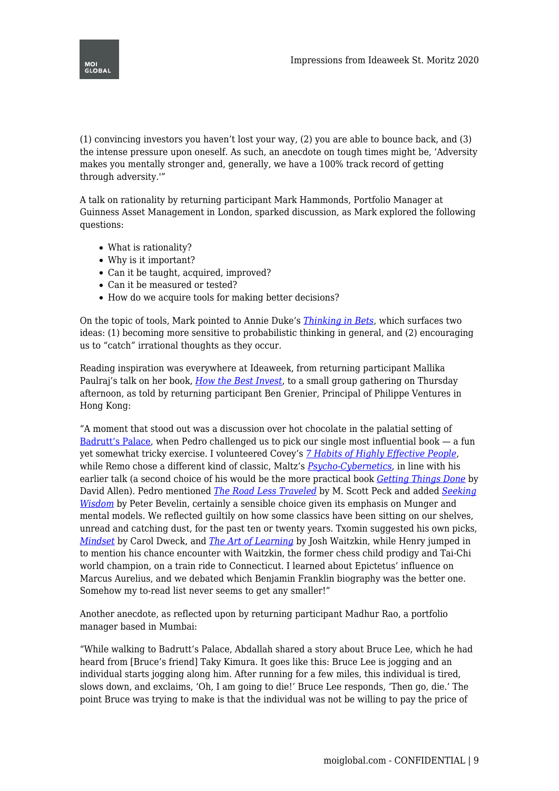

(1) convincing investors you haven't lost your way, (2) you are able to bounce back, and (3) the intense pressure upon oneself. As such, an anecdote on tough times might be, 'Adversity makes you mentally stronger and, generally, we have a 100% track record of getting through adversity.'"

A talk on rationality by returning participant Mark Hammonds, Portfolio Manager at Guinness Asset Management in London, sparked discussion, as Mark explored the following questions:

- What is rationality?
- Why is it important?
- Can it be taught, acquired, improved?
- Can it be measured or tested?
- How do we acquire tools for making better decisions?

On the topic of tools, Mark pointed to Annie Duke's *[Thinking in Bets](https://amzn.to/2wq9Kxt)*, which surfaces two ideas: (1) becoming more sensitive to probabilistic thinking in general, and (2) encouraging us to "catch" irrational thoughts as they occur.

Reading inspiration was everywhere at Ideaweek, from returning participant Mallika Paulraj's talk on her book, *[How the Best Invest](https://amzn.to/2SLTA99)*, to a small group gathering on Thursday afternoon, as told by returning participant Ben Grenier, Principal of Philippe Ventures in Hong Kong:

"A moment that stood out was a discussion over hot chocolate in the palatial setting of [Badrutt's Palace](https://www.badruttspalace.com/en), when Pedro challenged us to pick our single most influential book  $-$  a fun yet somewhat tricky exercise. I volunteered Covey's *[7 Habits of Highly Effective People](https://amzn.to/2OTgxpW)*, while Remo chose a different kind of classic, Maltz's *[Psycho-Cybernetics](https://amzn.to/31TDfU6)*, in line with his earlier talk (a second choice of his would be the more practical book *[Getting Things Done](https://amzn.to/2tYlgPF)* by David Allen). Pedro mentioned *[The Road Less Traveled](https://amzn.to/3bBK2pL)* by M. Scott Peck and added *[Seeking](https://amzn.to/2Ho18cL) [Wisdom](https://amzn.to/2Ho18cL)* by Peter Bevelin, certainly a sensible choice given its emphasis on Munger and mental models. We reflected guiltily on how some classics have been sitting on our shelves, unread and catching dust, for the past ten or twenty years. Txomin suggested his own picks, *[Mindset](https://amzn.to/38u9YSt)* by Carol Dweck, and *[The Art of Learning](https://amzn.to/2SsFpqs)* by Josh Waitzkin, while Henry jumped in to mention his chance encounter with Waitzkin, the former chess child prodigy and Tai-Chi world champion, on a train ride to Connecticut. I learned about Epictetus' influence on Marcus Aurelius, and we debated which Benjamin Franklin biography was the better one. Somehow my to-read list never seems to get any smaller!"

Another anecdote, as reflected upon by returning participant Madhur Rao, a portfolio manager based in Mumbai:

"While walking to Badrutt's Palace, Abdallah shared a story about Bruce Lee, which he had heard from [Bruce's friend] Taky Kimura. It goes like this: Bruce Lee is jogging and an individual starts jogging along him. After running for a few miles, this individual is tired, slows down, and exclaims, 'Oh, I am going to die!' Bruce Lee responds, 'Then go, die.' The point Bruce was trying to make is that the individual was not be willing to pay the price of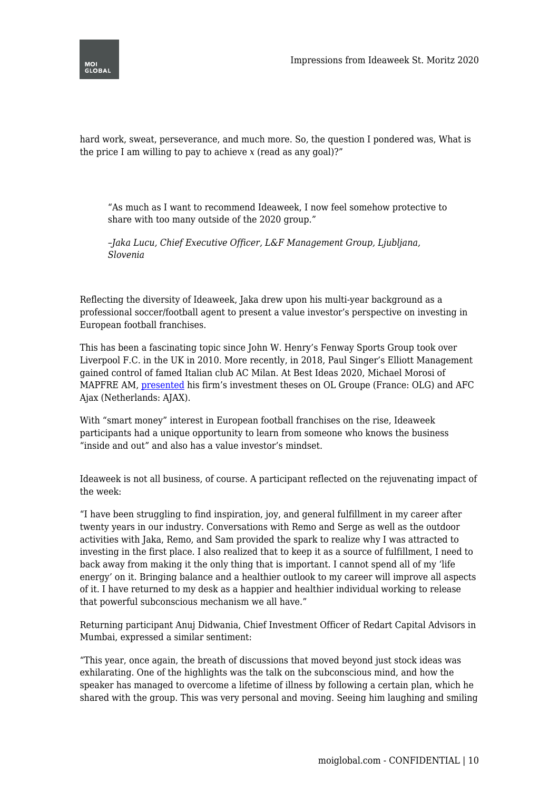

hard work, sweat, perseverance, and much more. So, the question I pondered was, What is the price I am willing to pay to achieve  $x$  (read as any goal)?"

"As much as I want to recommend Ideaweek, I now feel somehow protective to share with too many outside of the 2020 group."

*–Jaka Lucu, Chief Executive Officer, L&F Management Group, Ljubljana, Slovenia*

Reflecting the diversity of Ideaweek, Jaka drew upon his multi-year background as a professional soccer/football agent to present a value investor's perspective on investing in European football franchises.

This has been a fascinating topic since John W. Henry's Fenway Sports Group took over Liverpool F.C. in the UK in 2010. More recently, in 2018, Paul Singer's Elliott Management gained control of famed Italian club AC Milan. At Best Ideas 2020, Michael Morosi of MAPFRE AM, [presented](https://moiglobal.com/michael-morosi-202001/) his firm's investment theses on OL Groupe (France: OLG) and AFC Ajax (Netherlands: AJAX).

With "smart money" interest in European football franchises on the rise, Ideaweek participants had a unique opportunity to learn from someone who knows the business "inside and out" and also has a value investor's mindset.

Ideaweek is not all business, of course. A participant reflected on the rejuvenating impact of the week:

"I have been struggling to find inspiration, joy, and general fulfillment in my career after twenty years in our industry. Conversations with Remo and Serge as well as the outdoor activities with Jaka, Remo, and Sam provided the spark to realize why I was attracted to investing in the first place. I also realized that to keep it as a source of fulfillment, I need to back away from making it the only thing that is important. I cannot spend all of my 'life energy' on it. Bringing balance and a healthier outlook to my career will improve all aspects of it. I have returned to my desk as a happier and healthier individual working to release that powerful subconscious mechanism we all have."

Returning participant Anuj Didwania, Chief Investment Officer of Redart Capital Advisors in Mumbai, expressed a similar sentiment:

"This year, once again, the breath of discussions that moved beyond just stock ideas was exhilarating. One of the highlights was the talk on the subconscious mind, and how the speaker has managed to overcome a lifetime of illness by following a certain plan, which he shared with the group. This was very personal and moving. Seeing him laughing and smiling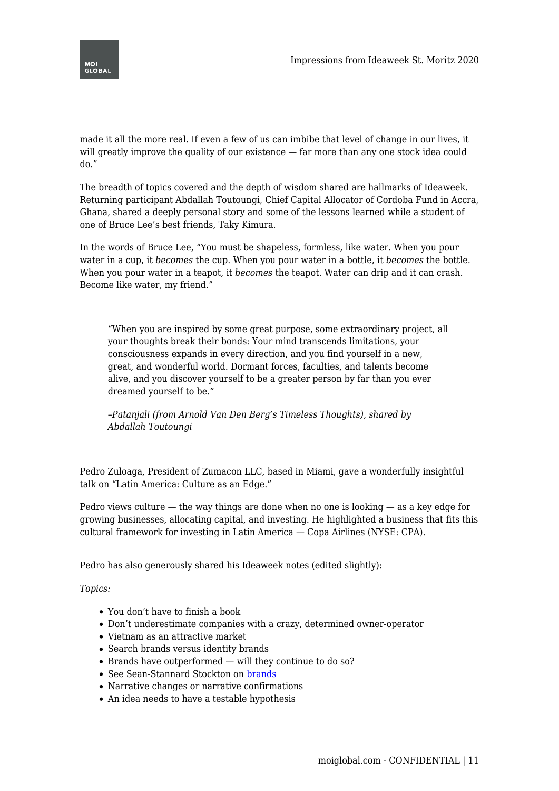

made it all the more real. If even a few of us can imbibe that level of change in our lives, it will greatly improve the quality of our existence — far more than any one stock idea could do."

The breadth of topics covered and the depth of wisdom shared are hallmarks of Ideaweek. Returning participant Abdallah Toutoungi, Chief Capital Allocator of Cordoba Fund in Accra, Ghana, shared a deeply personal story and some of the lessons learned while a student of one of Bruce Lee's best friends, Taky Kimura.

In the words of Bruce Lee, "You must be shapeless, formless, like water. When you pour water in a cup, it *becomes* the cup. When you pour water in a bottle, it *becomes* the bottle. When you pour water in a teapot, it *becomes* the teapot. Water can drip and it can crash. Become like water, my friend."

"When you are inspired by some great purpose, some extraordinary project, all your thoughts break their bonds: Your mind transcends limitations, your consciousness expands in every direction, and you find yourself in a new, great, and wonderful world. Dormant forces, faculties, and talents become alive, and you discover yourself to be a greater person by far than you ever dreamed yourself to be."

*–Patanjali (from Arnold Van Den Berg's Timeless Thoughts), shared by Abdallah Toutoungi*

Pedro Zuloaga, President of Zumacon LLC, based in Miami, gave a wonderfully insightful talk on "Latin America: Culture as an Edge."

Pedro views culture  $-$  the way things are done when no one is looking  $-$  as a key edge for growing businesses, allocating capital, and investing. He highlighted a business that fits this cultural framework for investing in Latin America — Copa Airlines (NYSE: CPA).

Pedro has also generously shared his Ideaweek notes (edited slightly):

*Topics:*

- You don't have to finish a book
- Don't underestimate companies with a crazy, determined owner-operator
- Vietnam as an attractive market
- Search brands versus identity brands
- $\bullet$  Brands have outperformed will they continue to do so?
- See Sean-Stannard Stockton on [brands](https://moiglobal.com/the-death-of-many-brands/)
- Narrative changes or narrative confirmations
- An idea needs to have a testable hypothesis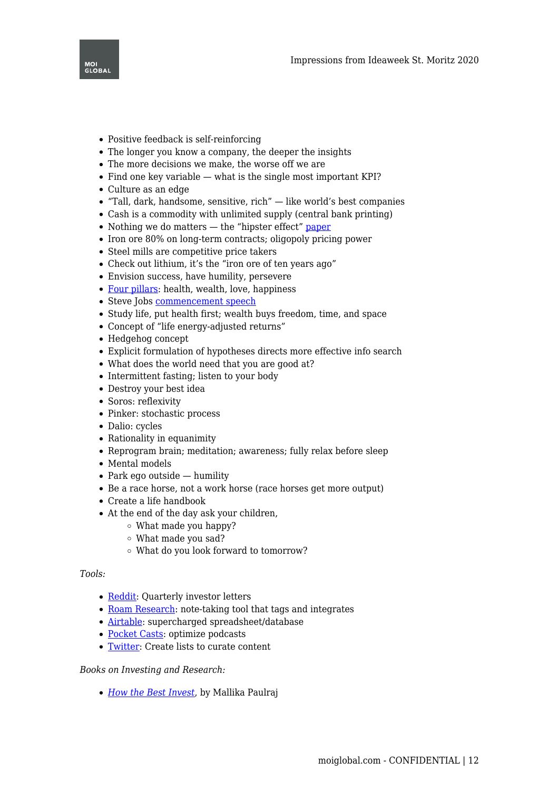

- Positive feedback is self-reinforcing
- The longer you know a company, the deeper the insights
- The more decisions we make, the worse off we are
- $\bullet$  Find one key variable what is the single most important KPI?
- Culture as an edge
- $\bullet$  "Tall, dark, handsome, sensitive, rich" like world's best companies
- Cash is a commodity with unlimited supply (central bank printing)
- Nothing we do matters the "hipster effect" [paper](https://arxiv.org/pdf/1410.8001.pdf)
- Iron ore 80% on long-term contracts; oligopoly pricing power
- Steel mills are competitive price takers
- Check out lithium, it's the "iron ore of ten years ago"
- Envision success, have humility, persevere
- [Four pillars](https://remo.org/2020/02/13/four-pillars-good-life-health-wealth-love-happiness/): health, wealth, love, happiness
- Steve Jobs [commencement speech](https://youtu.be/UF8uR6Z6KLc)
- Study life, put health first; wealth buys freedom, time, and space
- Concept of "life energy-adjusted returns"
- Hedgehog concept
- Explicit formulation of hypotheses directs more effective info search
- What does the world need that you are good at?
- Intermittent fasting; listen to your body
- Destroy your best idea
- Soros: reflexivity
- Pinker: stochastic process
- Dalio: cycles
- Rationality in equanimity
- Reprogram brain; meditation; awareness; fully relax before sleep
- Mental models
- $\bullet$  Park ego outside humility
- Be a race horse, not a work horse (race horses get more output)
- Create a life handbook
- At the end of the day ask your children,
	- What made you happy?
	- What made you sad?
	- What do you look forward to tomorrow?

## *Tools:*

- [Reddit](https://www.reddit.com/r/SecurityAnalysis/comments/ejvjtq/q4_2019_letters_reports/): Quarterly investor letters
- [Roam Research](https://roamresearch.com/): note-taking tool that tags and integrates
- [Airtable:](https://airtable.com/invite/r/8aJ94S2s) supercharged spreadsheet/database
- [Pocket Casts:](https://www.pocketcasts.com/) optimize podcasts
- [Twitter](https://twitter.com/home): Create lists to curate content

## *Books on Investing and Research:*

*[How the Best Invest](https://amzn.to/37umgcf)*, by Mallika Paulraj